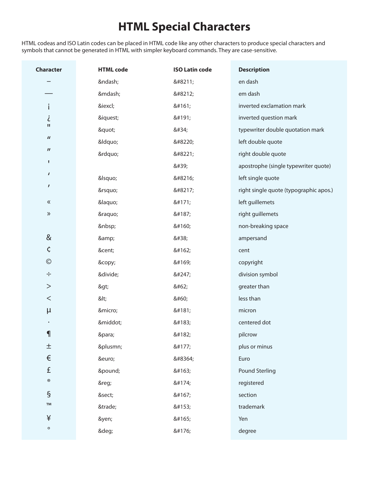## **HTML Special Characters**

HTML codeas and ISO Latin codes can be placed in HTML code like any other characters to produce special characters and symbols that cannot be generated in HTML with simpler keyboard commands. They are case-sensitive.

| <b>Character</b>    | <b>HTML</b> code | <b>ISO Latin code</b> | <b>Description</b>                     |
|---------------------|------------------|-----------------------|----------------------------------------|
|                     | –                | –                     | en dash                                |
|                     | —                | —                     | em dash                                |
| i                   | ¡                | ¡                     | inverted exclamation mark              |
| i                   | ¿                | ¿                     | inverted question mark                 |
| П                   | "                | "                     | typewriter double quotation mark       |
| $\pmb{\mathit{II}}$ | &Idquo           | "                     | left double quote                      |
| $\pmb{\mathit{II}}$ | "                | "                     | right double quote                     |
| п                   |                  | '                     | apostrophe (single typewriter quote)   |
| $\sqrt{ }$          | '                | '                     | left single quote                      |
| $\boldsymbol{I}$    | '                | '                     | right single quote (typographic apos.) |
| $\ll$               | «                | «                     | left guillemets                        |
| $\rangle\!\rangle$  | »                | »                     | right guillemets                       |
|                     |                  |                       | non-breaking space                     |
| &                   | &                | &                     | ampersand                              |
| ¢                   | ¢                | ¢                     | cent                                   |
| $\odot$             | ©                | ©                     | copyright                              |
| $\div$              | ÷                | ÷                     | division symbol                        |
| $\,>$               | >                | >                     | greater than                           |
| $\,<$               | <                | <                     | less than                              |
| μ                   | µ                | µ                     | micron                                 |
|                     | ·                | ·                     | centered dot                           |
| $\mathbf \P$        | ¶                | ¶                     | pilcrow                                |
| $\pm$               | ±                | ±                     | plus or minus                          |
| $\in$               | €                | €                     | Euro                                   |
| £                   | £                | £                     | <b>Pound Sterling</b>                  |
| $^{\circledR}$      | ®                | ®                     | registered                             |
| $\S$                | §                | §                     | section                                |
| TM                  | ™                | ™                     | trademark                              |
| ¥                   | ¥                | ¥                     | Yen                                    |
| $\circ$             | °                | °                     | degree                                 |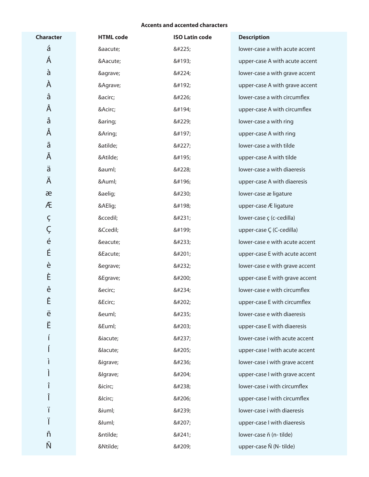## **Accents and accented characters**

| <b>Character</b>  | <b>HTML</b> code | <b>ISO Latin code</b> | <b>Description</b>             |
|-------------------|------------------|-----------------------|--------------------------------|
| á                 | á                | á                     | lower-case a with acute accent |
| Á                 | Á                | Á                     | upper-case A with acute accent |
| à                 | à                | à                     | lower-case a with grave accent |
| À                 | À                | À                     | upper-case A with grave accent |
| â                 | â                | â                     | lower-case a with circumflex   |
| Â                 | Â                | Â                     | upper-case A with circumflex   |
| å                 | å                | å                     | lower-case a with ring         |
| Å                 | Å                | Å                     | upper-case A with ring         |
| ã                 | ã                | ã                     | lower-case a with tilde        |
| Ã                 | Ã                | Ã                     | upper-case A with tilde        |
| ä                 | ä                | ä                     | lower-case a with diaeresis    |
| Ä                 | Ä                | Ä                     | upper-case A with diaeresis    |
| æ                 | æ                | æ                     | lower-case æ ligature          |
| Æ                 | Æ                | Æ                     | upper-case Æ ligature          |
| Ç                 | ç                | ç                     | lower-case ç (c-cedilla)       |
| Ç                 | Ç                | Ç                     | upper-case Ç (C-cedilla)       |
| $\acute{\text e}$ | é                | é                     | lower-case e with acute accent |
| É                 | É                | É                     | upper-case E with acute accent |
| è                 | è                | è                     | lower-case e with grave accent |
| È                 | È                | È                     | upper-case E with grave accent |
| ê                 | ê                | ê                     | lower-case e with circumflex   |
| Ê                 | Ê                | Ê                     | upper-case E with circumflex   |
| ë                 | ë                | ë                     | lower-case e with diaeresis    |
| Ë                 | Ë                | Ë                     | upper-case E with diaeresis    |
|                   | í                | í                     | lower-case i with acute accent |
|                   | ĺ                | Í                     | upper-case I with acute accent |
|                   | ì                | ì                     | lower-case i with grave accent |
|                   | &lgrave          | Ì                     | upper-case I with grave accent |
| î                 | î                | î                     | lower-case i with circumflex   |
|                   | &lcirc           | Î                     | upper-case I with circumflex   |
| ï                 | ï                | ï                     | lower-case i with diaeresis    |
| Ϊ                 | &luml            | Ï                     | upper-case I with diaeresis    |
| ñ                 | ñ                | ñ                     | lower-case ñ (n- tilde)        |
| Ñ                 | Ñ                | Ñ                     | upper-case Ñ (N- tilde)        |